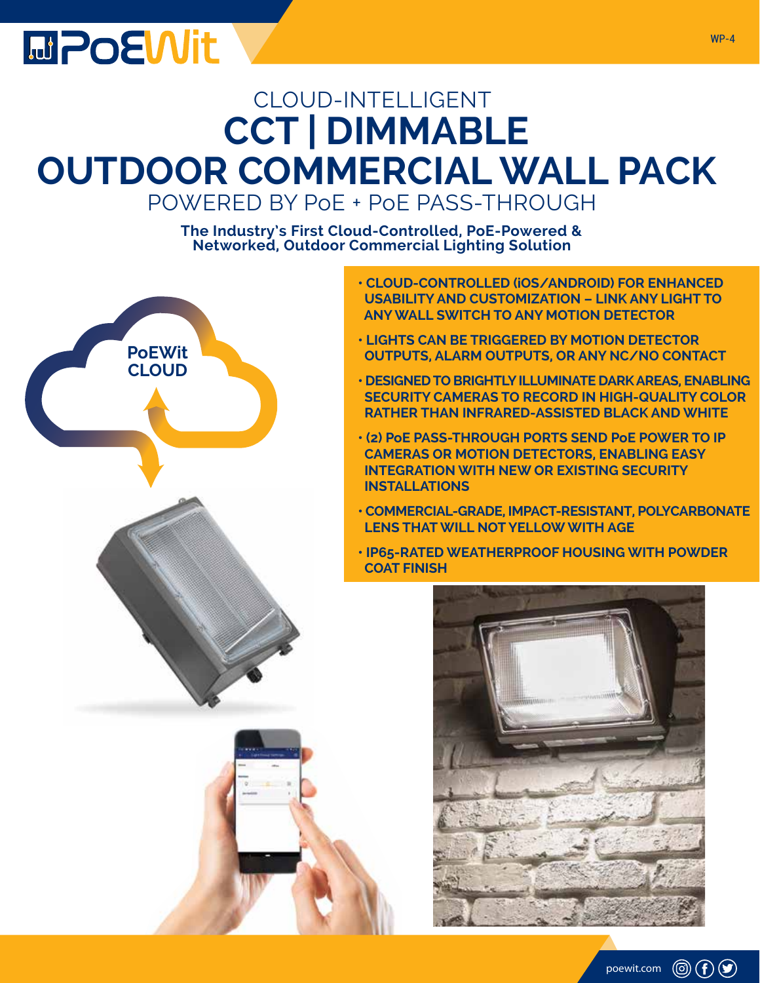## **MPOEWit**

### CLOUD-INTELLIGENT **CCT | DIMMABLE OUTDOOR COMMERCIAL WALL PACK** POWERED BY PoE + PoE PASS-THROUGH

**The Industry's First Cloud-Controlled, PoE-Powered & Networked, Outdoor Commercial Lighting Solution**



- **CLOUD-CONTROLLED (iOS/ANDROID) FOR ENHANCED USABILITY AND CUSTOMIZATION – LINK ANY LIGHT TO ANY WALL SWITCH TO ANY MOTION DETECTOR**
- **LIGHTS CAN BE TRIGGERED BY MOTION DETECTOR OUTPUTS, ALARM OUTPUTS, OR ANY NC/NO CONTACT**
- **DESIGNED TO BRIGHTLY ILLUMINATE DARK AREAS, ENABLING SECURITY CAMERAS TO RECORD IN HIGH-QUALITY COLOR RATHER THAN INFRARED-ASSISTED BLACK AND WHITE**
- **(2) PoE PASS-THROUGH PORTS SEND PoE POWER TO IP CAMERAS OR MOTION DETECTORS, ENABLING EASY INTEGRATION WITH NEW OR EXISTING SECURITY INSTALLATIONS**
- **COMMERCIAL-GRADE, IMPACT-RESISTANT, POLYCARBONATE LENS THAT WILL NOT YELLOW WITH AGE**
- **IP65-RATED WEATHERPROOF HOUSING WITH POWDER COAT FINISH**

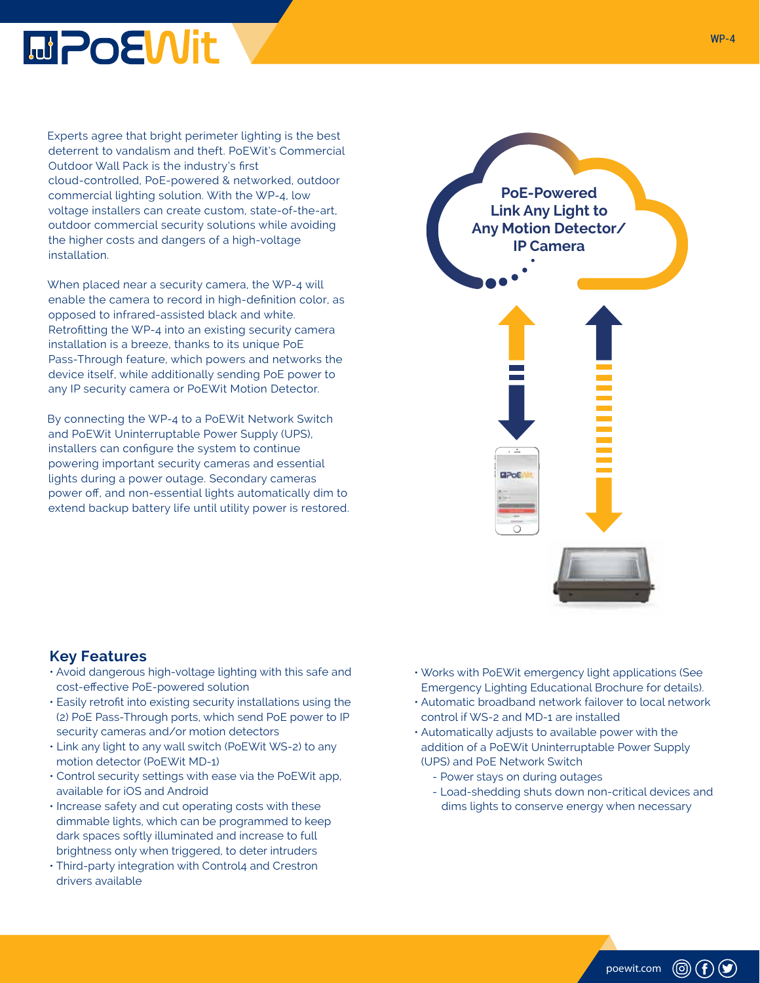

Experts agree that bright perimeter lighting is the best deterrent to vandalism and theft. PoEWit's Commercial Outdoor Wall Pack is the industry's first cloud-controlled, PoE-powered & networked, outdoor commercial lighting solution. With the WP-4, low voltage installers can create custom, state-of-the-art, outdoor commercial security solutions while avoiding the higher costs and dangers of a high-voltage installation.

When placed near a security camera, the WP-4 will enable the camera to record in high-definition color, as opposed to infrared-assisted black and white. Retrofitting the WP-4 into an existing security camera installation is a breeze, thanks to its unique PoE Pass-Through feature, which powers and networks the device itself, while additionally sending PoE power to any IP security camera or PoEWit Motion Detector.

By connecting the WP-4 to a PoEWit Network Switch and PoEWit Uninterruptable Power Supply (UPS), installers can configure the system to continue powering important security cameras and essential lights during a power outage. Secondary cameras power off, and non-essential lights automatically dim to extend backup battery life until utility power is restored.

# **PoE-Powered Link Any Light to Any Motion Detector/ IP Camera**ДРо€

#### **Key Features**

- Avoid dangerous high-voltage lighting with this safe and cost-effective PoE-powered solution
- Easily retrofit into existing security installations using the (2) PoE Pass-Through ports, which send PoE power to IP security cameras and/or motion detectors
- Link any light to any wall switch (PoEWit WS-2) to any motion detector (PoEWit MD-1)
- Control security settings with ease via the PoEWit app, available for iOS and Android
- Increase safety and cut operating costs with these dimmable lights, which can be programmed to keep dark spaces softly illuminated and increase to full brightness only when triggered, to deter intruders
- Third-party integration with Control4 and Crestron drivers available
- Works with PoEWit emergency light applications (See Emergency Lighting Educational Brochure for details).
- Automatic broadband network failover to local network control if WS-2 and MD-1 are installed
- Automatically adjusts to available power with the addition of a PoEWit Uninterruptable Power Supply (UPS) and PoE Network Switch
	- Power stays on during outages
	- Load-shedding shuts down non-critical devices and dims lights to conserve energy when necessary

poewit.com

 $\circledcirc$  (f)  $\circledcirc$